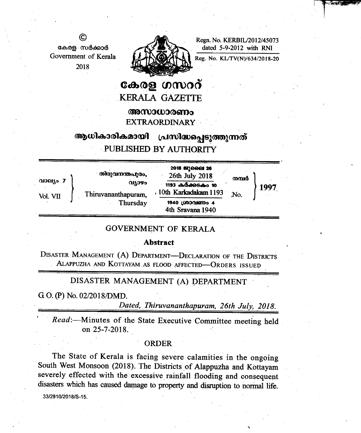Regn. No. KERBIL/2012/45073 dated 5-9-2012 with RNI



കേരള സർക്കാർ Government of Kerala 2018

©

# കേരള ഗസററ് **KERALA GAZETTE**

അസാധാരണം

**EXTRAORDINARY** 

#### ആധികാരികമായി പ്രസിദ്ധപ്പെടുത്തുന്നത് PUBLISHED BY AUTHORITY

|                        | തിരുവനന്തപുരം,                            | 2018 82) ରତ୍ତ 26                                             |                                    |      |
|------------------------|-------------------------------------------|--------------------------------------------------------------|------------------------------------|------|
| $QIOQJQ$ 7<br>Vol. VII | വ്യാഴം<br>Thiruvananthapuram,<br>Thursday | 26th July 2018<br>1193 കർക്കടകം 10<br>. 10th Karkadakam 1193 | നമ്പർ                              | 1997 |
|                        |                                           |                                                              |                                    |      |
|                        |                                           |                                                              | 1940 ശ്രാവണം 4<br>4th Sravana 1940 |      |

## **GOVERNMENT OF KERALA**

#### **Abstract**

DISASTER MANAGEMENT (A) DEPARTMENT-DECLARATION OF THE DISTRICTS ALAPPUZHA AND KOTTAYAM AS FLOOD AFFECTED-ORDERS ISSUED

### DISASTER MANAGEMENT (A) DEPARTMENT

G O. (P) No. 02/2018/DMD.

Dated, Thiruvananthapuram, 26th July. 2018.

Read:-Minutes of the State Executive Committee meeting held on 25-7-2018.

#### **ORDER**

The State of Kerala is facing severe calamities in the ongoing South West Monsoon (2018). The Districts of Alappuzha and Kottayam severely effected with the excessive rainfall flooding and consequent disasters which has caused damage to property and disruption to normal life.

33/2910/2018/S-15.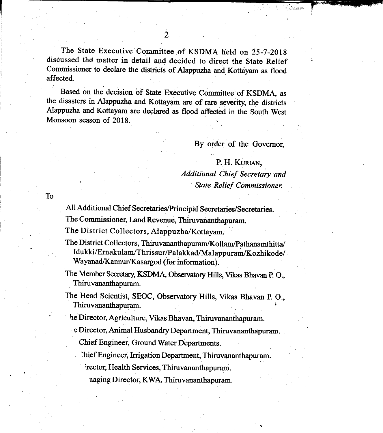The State Executive Committee of KSDMA held on 25-7-2018 discussed tho matter in detail and decided to direct the state Relief Commissioner to declare the districts of Alappuzha and Kottayam as flood affected.

Based on the decision of State Executive Committee of KSDMA, as the disasters in Alappuzha and Kottayam are of rare severity, the districts Alappuzha and Kottayam are declared as flood affected in the South West Monsoon season of 2018.

By order of the Governor,

 $\mathcal{L}$ ,  $\mathcal{L}$ I

P. H. KURIAN,<br>Additional Chief Secretary and<br>State Relief Commissioner.

To

All Additional Chief Secretaries/Principal Secretaries/Secretaries.

The Commissioner, Land Revenue. Thiruvananthapuram.

The District Collectors, Alappuzha/Kottayam.

- The District Collectors, Thiruvananthapuram/Kollam/Pathanamthitta/ Idukki/Ernakulam/Thri ssur/Palakkad/Malappuram/Kozhikode/ Wayanad/Kannur/Kasargod (for information).
- The Member Secretary, KSDMA, Observatory Hills, Vikas Bhavan P.O., Thiruvananthapuram
- The Head Scientist, SEOC, Observatory Hills, Vikas Bhavan P. O., Thiruvananthapuram.

' he Director, Agriculture, Vikas Bhavan, Thiruvananthapuram.

e Director, Animal Husbandry Department, Thiruvananthapuram.

Chief Engineer, Ground Water Departments.

Thief Engineer, Irrigation Department, Thiruvananthapuram.

rector, Health Services, Thiruvananthapuram.

naging Director, KWA, Thiruvananthapuram.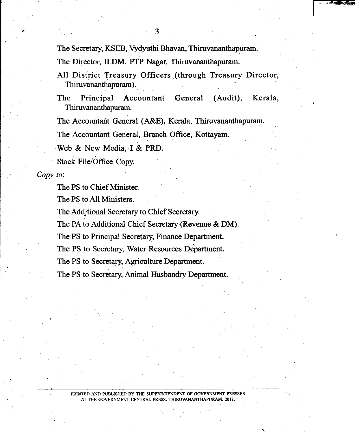The Secretary, KSEB, Vydyuthi Bhavan, Thiruvananthapuram.

The Director, ILDM, PTP Nagar, Thiruvananthapuram.

All District Treasury Officers (through Treasury Director, Thiruvananthapuram).

The Principal Accountant General (Audit), Kerala, Thiruvananthapuram.

The Accountant General (A&E), Kerala, Thiruvananthapuram.

The Accountant General, Branch Office, Kottayam.

Web & New Media, I & PRD.

Stock File/Office Copy.

Copy to:

The PS to Chief Minister.

The PS to All Ministers.

The Additional Secretary to Chief Secretary.

The PA to Additional Chief Secretary (Revenue & DM).

The PS to Principal Secretary, Finance Department

The PS to Secretary, Water Resources Department.

The PS to Secretary, Agriculture Department.

The PS to Secretary, Animal Husbandry Department.

PRINTED AND PUBLISHED BY THE SUPERINTENDENT OF GOVERNMENT PRESSES AT THE GOVERNMENT CENTRAL PRESS, THIRUVANANTHAPURAM, 2018.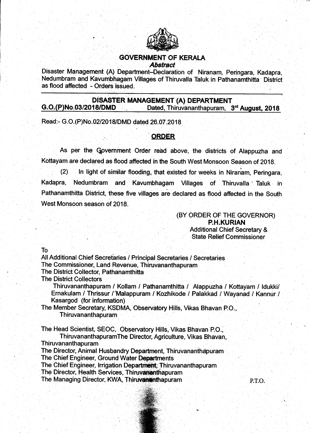

## GOVERNMENT OF KERALA **Abstract**

Disaster Management (A) Department-Declaration of Niranam, Peringara, Kadapra, Nedumbram and Kavumbhagam Villages of Thiruvalla Taluk in Pathanamthitta District as flood affected - Orders issued.

# G.O.(P)No.03/2018/DMD<br>G.O.(P)No.03/2018/DMD Dated, Thiruvananthapuram, 3<sup>rd</sup> August, 2018

Read:- G.O. (P)No.02/2018/DMD dated 26.07.2018

## ORDER

As per the Government Order read above, the districts of Alappuzha and Kottayam are declared as flood affected in the South West Monsoon Season of 2018.

 $(2)$  ln light of similar flooding, that existed for weeks in Niranam, Peringara, Kadapra, Nedumbram and Kavumbhagam Villages of Thiruvalla Taluk in Pathanamthitta District, these five villages are declared as flood affected in the South West Monsoon season of 2018.

> (BY ORDER OF THE GOVERNOR) P.H.KURIAN Additional Chief Secretary & State Relief Commissioner

To

All Additional Chief Secretaries / Principal Secretaries / Secretaries

The Commissioner, Land Revenue, Thiruvananthapuram

The District Collector, Pathanamthifta

The District Collectors

Thiruvananthapuram / Kollam / Pathanamthitta / Alappuzha / Kottayam / Idukki/ Ernakulam / Thrissur /'Malappuram / Kozhikode / Palakkad / Wayanad / Kannur / Kasargod (for information)

The Member Secretary, KSDMA, Observatory Hills, Vikas Bhavan P.O., Thiruvananthapuram

The Head Scientist, SEOC, Observatory Hills, Vikas Bhavan P.O.,

ThiruvananthapuramThe Director, Agriculture, Vikas Bhavan, Thiruvananthapuram

The Director, Animal Husbandry Department, Thiruvananthapuram

The Chief Engineer, Ground Water Departments

The Chief Engineer, Irrigation Department, Thiruvananthapuram

The Director, Health Services, Thiruvananthapuram

The Managing Director, KWA, Thiruvarianthapuram P.T.O.